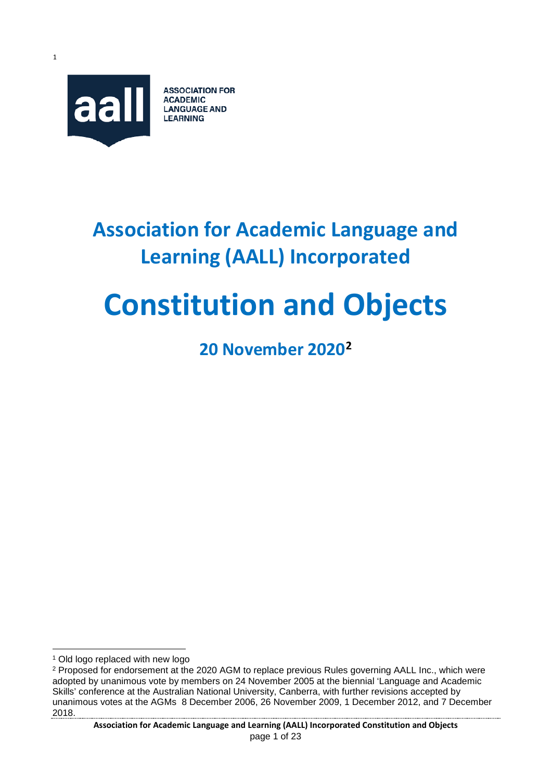

# **Association for Academic Language and Learning (AALL) Incorporated**

# **Constitution and Objects**

**20 November 2020[2](#page-0-1)**

<span id="page-0-0"></span> <sup>1</sup> Old logo replaced with new logo

<span id="page-0-1"></span><sup>&</sup>lt;sup>2</sup> Proposed for endorsement at the 2020 AGM to replace previous Rules governing AALL Inc., which were adopted by unanimous vote by members on 24 November 2005 at the biennial 'Language and Academic Skills' conference at the Australian National University, Canberra, with further revisions accepted by unanimous votes at the AGMs 8 December 2006, 26 November 2009, 1 December 2012, and 7 December 2018.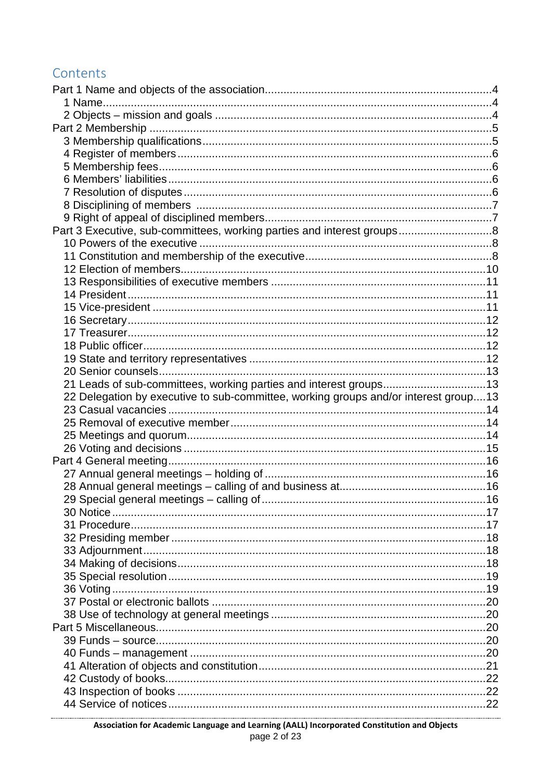#### Contents

| Part 3 Executive, sub-committees, working parties and interest groups8              |  |
|-------------------------------------------------------------------------------------|--|
|                                                                                     |  |
|                                                                                     |  |
|                                                                                     |  |
|                                                                                     |  |
|                                                                                     |  |
|                                                                                     |  |
|                                                                                     |  |
|                                                                                     |  |
|                                                                                     |  |
|                                                                                     |  |
|                                                                                     |  |
| 21 Leads of sub-committees, working parties and interest groups13                   |  |
| 22 Delegation by executive to sub-committee, working groups and/or interest group13 |  |
|                                                                                     |  |
|                                                                                     |  |
|                                                                                     |  |
|                                                                                     |  |
|                                                                                     |  |
|                                                                                     |  |
|                                                                                     |  |
|                                                                                     |  |
|                                                                                     |  |
|                                                                                     |  |
|                                                                                     |  |
|                                                                                     |  |
|                                                                                     |  |
|                                                                                     |  |
|                                                                                     |  |
|                                                                                     |  |
|                                                                                     |  |
|                                                                                     |  |
|                                                                                     |  |
|                                                                                     |  |
|                                                                                     |  |
|                                                                                     |  |
|                                                                                     |  |
|                                                                                     |  |
|                                                                                     |  |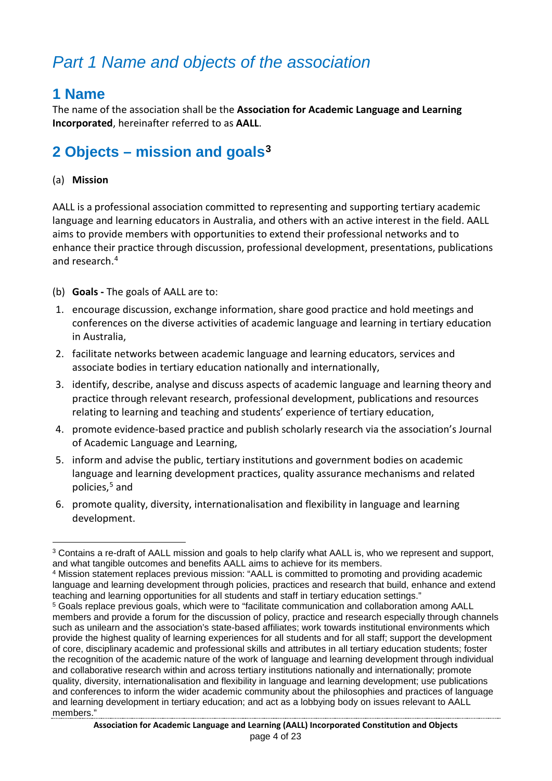# <span id="page-3-0"></span>*Part 1 Name and objects of the association*

#### <span id="page-3-1"></span>**1 Name**

The name of the association shall be the **Association for Academic Language and Learning Incorporated**, hereinafter referred to as **AALL**.

#### <span id="page-3-2"></span>**2 Objects – mission and goals[3](#page-3-3)**

#### (a) **Mission**

AALL is a professional association committed to representing and supporting tertiary academic language and learning educators in Australia, and others with an active interest in the field. AALL aims to provide members with opportunities to extend their professional networks and to enhance their practice through discussion, professional development, presentations, publications and research[.4](#page-3-4)

- (b) **Goals -** The goals of AALL are to:
- 1. encourage discussion, exchange information, share good practice and hold meetings and conferences on the diverse activities of academic language and learning in tertiary education in Australia,
- 2. facilitate networks between academic language and learning educators, services and associate bodies in tertiary education nationally and internationally,
- 3. identify, describe, analyse and discuss aspects of academic language and learning theory and practice through relevant research, professional development, publications and resources relating to learning and teaching and students' experience of tertiary education,
- 4. promote evidence-based practice and publish scholarly research via the association's Journal of Academic Language and Learning,
- 5. inform and advise the public, tertiary institutions and government bodies on academic language and learning development practices, quality assurance mechanisms and related policies, [5](#page-3-5) and
- 6. promote quality, diversity, internationalisation and flexibility in language and learning development.

<span id="page-3-3"></span><sup>&</sup>lt;sup>3</sup> Contains a re-draft of AALL mission and goals to help clarify what AALL is, who we represent and support, and what tangible outcomes and benefits AALL aims to achieve for its members.

<span id="page-3-4"></span><sup>4</sup> Mission statement replaces previous mission: "AALL is committed to promoting and providing academic language and learning development through policies, practices and research that build, enhance and extend teaching and learning opportunities for all students and staff in tertiary education settings."

<span id="page-3-5"></span><sup>5</sup> Goals replace previous goals, which were to "facilitate communication and collaboration among AALL members and provide a forum for the discussion of policy, practice and research especially through channels such as unilearn and the association's state-based affiliates; work towards institutional environments which provide the highest quality of learning experiences for all students and for all staff; support the development of core, disciplinary academic and professional skills and attributes in all tertiary education students; foster the recognition of the academic nature of the work of language and learning development through individual and collaborative research within and across tertiary institutions nationally and internationally; promote quality, diversity, internationalisation and flexibility in language and learning development; use publications and conferences to inform the wider academic community about the philosophies and practices of language and learning development in tertiary education; and act as a lobbying body on issues relevant to AALL members."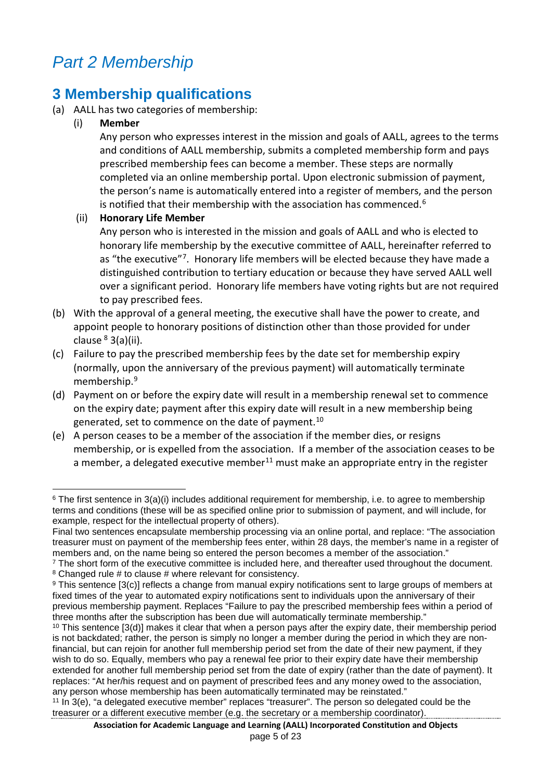# <span id="page-4-0"></span>*Part 2 Membership*

#### <span id="page-4-1"></span>**3 Membership qualifications**

- (a) AALL has two categories of membership:
	- (i) **Member**

Any person who expresses interest in the mission and goals of AALL, agrees to the terms and conditions of AALL membership, submits a completed membership form and pays prescribed membership fees can become a member. These steps are normally completed via an online membership portal. Upon electronic submission of payment, the person's name is automatically entered into a register of members, and the person is notified that their membership with the association has commenced.<sup>[6](#page-4-2)</sup>

#### (ii) **Honorary Life Member**

Any person who is interested in the mission and goals of AALL and who is elected to honorary life membership by the executive committee of AALL, hereinafter referred to as "the executive"[7](#page-4-3). Honorary life members will be elected because they have made a distinguished contribution to tertiary education or because they have served AALL well over a significant period. Honorary life members have voting rights but are not required to pay prescribed fees.

- (b) With the approval of a general meeting, the executive shall have the power to create, and appoint people to honorary positions of distinction other than those provided for under clause  $8$  3(a)(ii).
- (c) Failure to pay the prescribed membership fees by the date set for membership expiry (normally, upon the anniversary of the previous payment) will automatically terminate membership[.9](#page-4-5)
- (d) Payment on or before the expiry date will result in a membership renewal set to commence on the expiry date; payment after this expiry date will result in a new membership being generated, set to commence on the date of payment.<sup>[10](#page-4-6)</sup>
- (e) A person ceases to be a member of the association if the member dies, or resigns membership, or is expelled from the association. If a member of the association ceases to be a member, a delegated executive member $11$  must make an appropriate entry in the register

<span id="page-4-2"></span><sup>&</sup>lt;sup>6</sup> The first sentence in 3(a)(i) includes additional requirement for membership, i.e. to agree to membership terms and conditions (these will be as specified online prior to submission of payment, and will include, for example, respect for the intellectual property of others).

Final two sentences encapsulate membership processing via an online portal, and replace: "The association treasurer must on payment of the membership fees enter, within 28 days, the member's name in a register of members and, on the name being so entered the person becomes a member of the association."

<span id="page-4-3"></span><sup>&</sup>lt;sup>7</sup> The short form of the executive committee is included here, and thereafter used throughout the document. <sup>8</sup> Changed rule # to clause # where relevant for consistency.

<span id="page-4-5"></span><span id="page-4-4"></span><sup>&</sup>lt;sup>9</sup> This sentence [3(c)] reflects a change from manual expiry notifications sent to large groups of members at fixed times of the year to automated expiry notifications sent to individuals upon the anniversary of their previous membership payment. Replaces "Failure to pay the prescribed membership fees within a period of three months after the subscription has been due will automatically terminate membership."

<span id="page-4-6"></span><sup>10</sup> This sentence [3(d)] makes it clear that when a person pays after the expiry date, their membership period is not backdated; rather, the person is simply no longer a member during the period in which they are nonfinancial, but can rejoin for another full membership period set from the date of their new payment, if they wish to do so. Equally, members who pay a renewal fee prior to their expiry date have their membership extended for another full membership period set from the date of expiry (rather than the date of payment). It replaces: "At her/his request and on payment of prescribed fees and any money owed to the association, any person whose membership has been automatically terminated may be reinstated."

<span id="page-4-7"></span><sup>&</sup>lt;sup>11</sup> In 3(e), "a delegated executive member" replaces "treasurer". The person so delegated could be the treasurer or a different executive member (e.g. the secretary or a membership coordinator).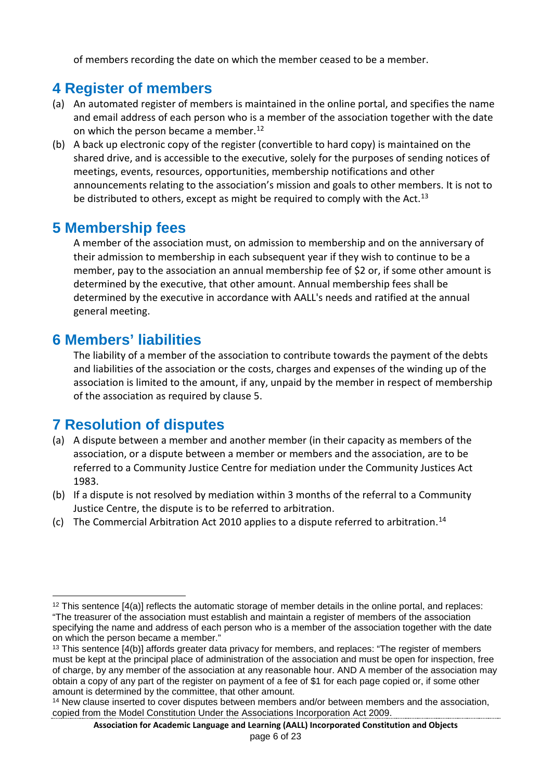of members recording the date on which the member ceased to be a member.

#### <span id="page-5-0"></span>**4 Register of members**

- (a) An automated register of members is maintained in the online portal, and specifies the name and email address of each person who is a member of the association together with the date on which the person became a member.<sup>[12](#page-5-4)</sup>
- (b) A back up electronic copy of the register (convertible to hard copy) is maintained on the shared drive, and is accessible to the executive, solely for the purposes of sending notices of meetings, events, resources, opportunities, membership notifications and other announcements relating to the association's mission and goals to other members. It is not to be distributed to others, except as might be required to comply with the Act.<sup>[13](#page-5-5)</sup>

#### <span id="page-5-1"></span>**5 Membership fees**

A member of the association must, on admission to membership and on the anniversary of their admission to membership in each subsequent year if they wish to continue to be a member, pay to the association an annual membership fee of \$2 or, if some other amount is determined by the executive, that other amount. Annual membership fees shall be determined by the executive in accordance with AALL's needs and ratified at the annual general meeting.

#### <span id="page-5-2"></span>**6 Members' liabilities**

The liability of a member of the association to contribute towards the payment of the debts and liabilities of the association or the costs, charges and expenses of the winding up of the association is limited to the amount, if any, unpaid by the member in respect of membership of the association as required by clause 5.

#### <span id="page-5-3"></span>**7 Resolution of disputes**

- (a) A dispute between a member and another member (in their capacity as members of the association, or a dispute between a member or members and the association, are to be referred to a Community Justice Centre for mediation under the Community Justices Act 1983.
- (b) If a dispute is not resolved by mediation within 3 months of the referral to a Community Justice Centre, the dispute is to be referred to arbitration.
- (c) The Commercial Arbitration Act 2010 applies to a dispute referred to arbitration.[14](#page-5-6)

<span id="page-5-4"></span> $12$  This sentence  $[4(a)]$  reflects the automatic storage of member details in the online portal, and replaces: "The treasurer of the association must establish and maintain a register of members of the association specifying the name and address of each person who is a member of the association together with the date on which the person became a member."

<span id="page-5-5"></span><sup>&</sup>lt;sup>13</sup> This sentence [4(b)] affords greater data privacy for members, and replaces: "The register of members must be kept at the principal place of administration of the association and must be open for inspection, free of charge, by any member of the association at any reasonable hour. AND A member of the association may obtain a copy of any part of the register on payment of a fee of \$1 for each page copied or, if some other amount is determined by the committee, that other amount.

<span id="page-5-6"></span><sup>14</sup> New clause inserted to cover disputes between members and/or between members and the association, copied from the Model Constitution Under the Associations Incorporation Act 2009.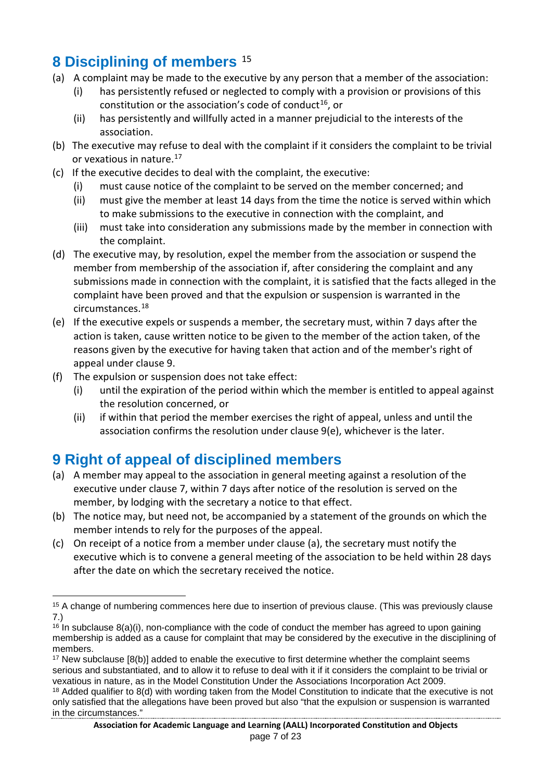#### <span id="page-6-0"></span>**8 Disciplining of members** [15](#page-6-2)

- (a) A complaint may be made to the executive by any person that a member of the association:
	- (i) has persistently refused or neglected to comply with a provision or provisions of this constitution or the association's code of conduct<sup>16</sup>, or
	- (ii) has persistently and willfully acted in a manner prejudicial to the interests of the association.
- (b) The executive may refuse to deal with the complaint if it considers the complaint to be trivial or vexatious in nature.[17](#page-6-4)
- (c) If the executive decides to deal with the complaint, the executive:
	- (i) must cause notice of the complaint to be served on the member concerned; and
	- (ii) must give the member at least 14 days from the time the notice is served within which to make submissions to the executive in connection with the complaint, and
	- (iii) must take into consideration any submissions made by the member in connection with the complaint.
- (d) The executive may, by resolution, expel the member from the association or suspend the member from membership of the association if, after considering the complaint and any submissions made in connection with the complaint, it is satisfied that the facts alleged in the complaint have been proved and that the expulsion or suspension is warranted in the circumstances. [18](#page-6-5)
- (e) If the executive expels or suspends a member, the secretary must, within 7 days after the action is taken, cause written notice to be given to the member of the action taken, of the reasons given by the executive for having taken that action and of the member's right of appeal under clause 9.
- (f) The expulsion or suspension does not take effect:
	- (i) until the expiration of the period within which the member is entitled to appeal against the resolution concerned, or
	- (ii) if within that period the member exercises the right of appeal, unless and until the association confirms the resolution under clause 9(e), whichever is the later.

#### <span id="page-6-1"></span>**9 Right of appeal of disciplined members**

- (a) A member may appeal to the association in general meeting against a resolution of the executive under clause 7, within 7 days after notice of the resolution is served on the member, by lodging with the secretary a notice to that effect.
- (b) The notice may, but need not, be accompanied by a statement of the grounds on which the member intends to rely for the purposes of the appeal.
- (c) On receipt of a notice from a member under clause (a), the secretary must notify the executive which is to convene a general meeting of the association to be held within 28 days after the date on which the secretary received the notice.

<span id="page-6-2"></span><sup>&</sup>lt;sup>15</sup> A change of numbering commences here due to insertion of previous clause. (This was previously clause 7.)

<span id="page-6-3"></span> $16$  In subclause  $8(a)(i)$ , non-compliance with the code of conduct the member has agreed to upon gaining membership is added as a cause for complaint that may be considered by the executive in the disciplining of members.

<span id="page-6-4"></span> $17$  New subclause  $[8(b)]$  added to enable the executive to first determine whether the complaint seems serious and substantiated, and to allow it to refuse to deal with it if it considers the complaint to be trivial or vexatious in nature, as in the Model Constitution Under the Associations Incorporation Act 2009.

<span id="page-6-5"></span><sup>&</sup>lt;sup>18</sup> Added qualifier to 8(d) with wording taken from the Model Constitution to indicate that the executive is not only satisfied that the allegations have been proved but also "that the expulsion or suspension is warranted in the circumstances."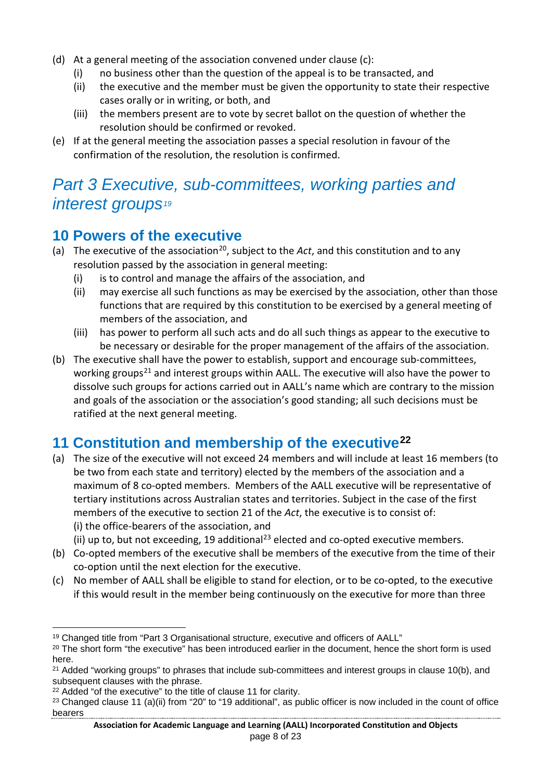- (d) At a general meeting of the association convened under clause (c):
	- (i) no business other than the question of the appeal is to be transacted, and
	- (ii) the executive and the member must be given the opportunity to state their respective cases orally or in writing, or both, and
	- (iii) the members present are to vote by secret ballot on the question of whether the resolution should be confirmed or revoked.
- (e) If at the general meeting the association passes a special resolution in favour of the confirmation of the resolution, the resolution is confirmed.

## <span id="page-7-0"></span>*Part 3 Executive, sub-committees, working parties and interest groups[19](#page-7-3)*

#### <span id="page-7-1"></span>**10 Powers of the executive**

- (a) The executive of the association<sup>[20](#page-7-4)</sup>, subject to the *Act*, and this constitution and to any resolution passed by the association in general meeting:
	- (i) is to control and manage the affairs of the association, and
	- (ii) may exercise all such functions as may be exercised by the association, other than those functions that are required by this constitution to be exercised by a general meeting of members of the association, and
	- (iii) has power to perform all such acts and do all such things as appear to the executive to be necessary or desirable for the proper management of the affairs of the association.
- (b) The executive shall have the power to establish, support and encourage sub-committees, working groups<sup>[21](#page-7-5)</sup> and interest groups within AALL. The executive will also have the power to dissolve such groups for actions carried out in AALL's name which are contrary to the mission and goals of the association or the association's good standing; all such decisions must be ratified at the next general meeting.

#### <span id="page-7-2"></span>**11 Constitution and membership of the executive[22](#page-7-6)**

- (a) The size of the executive will not exceed 24 members and will include at least 16 members (to be two from each state and territory) elected by the members of the association and a maximum of 8 co-opted members. Members of the AALL executive will be representative of tertiary institutions across Australian states and territories. Subject in the case of the first members of the executive to section 21 of the *Act*, the executive is to consist of: (i) the office-bearers of the association, and
	- (ii) up to, but not exceeding, 19 additional<sup>[23](#page-7-7)</sup> elected and co-opted executive members.
- (b) Co-opted members of the executive shall be members of the executive from the time of their co-option until the next election for the executive.
- (c) No member of AALL shall be eligible to stand for election, or to be co-opted, to the executive if this would result in the member being continuously on the executive for more than three

<span id="page-7-3"></span> <sup>19</sup> Changed title from "Part 3 Organisational structure, executive and officers of AALL"

<span id="page-7-4"></span><sup>&</sup>lt;sup>20</sup> The short form "the executive" has been introduced earlier in the document, hence the short form is used here.

<span id="page-7-5"></span><sup>&</sup>lt;sup>21</sup> Added "working groups" to phrases that include sub-committees and interest groups in clause 10(b), and subsequent clauses with the phrase.

<span id="page-7-6"></span><sup>&</sup>lt;sup>22</sup> Added "of the executive" to the title of clause 11 for clarity.

<span id="page-7-7"></span><sup>&</sup>lt;sup>23</sup> Changed clause 11 (a)(ii) from "20" to "19 additional", as public officer is now included in the count of office bearers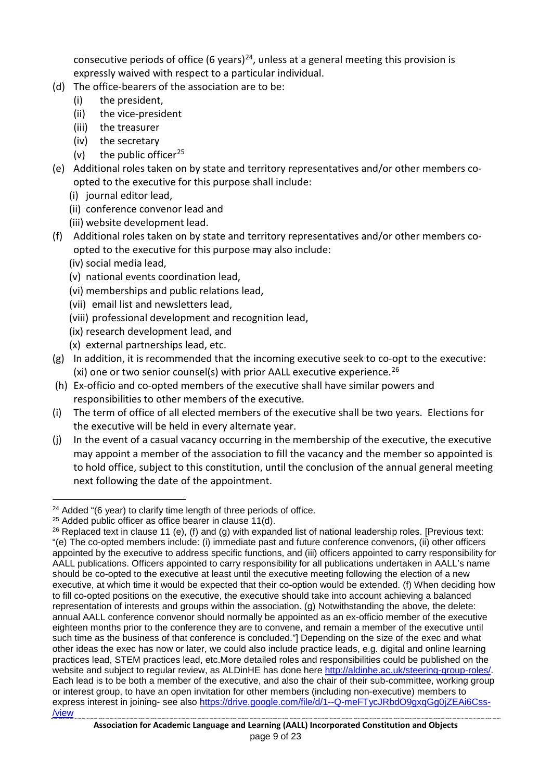consecutive periods of office (6 years)<sup>24</sup>, unless at a general meeting this provision is expressly waived with respect to a particular individual.

- (d) The office-bearers of the association are to be:
	- (i) the president,
	- (ii) the vice-president
	- (iii) the treasurer
	- (iv) the secretary
	- (v) the public officer<sup>[25](#page-8-1)</sup>
- (e) Additional roles taken on by state and territory representatives and/or other members coopted to the executive for this purpose shall include:
	- (i) journal editor lead,
	- (ii) conference convenor lead and
	- (iii) website development lead.
- (f) Additional roles taken on by state and territory representatives and/or other members coopted to the executive for this purpose may also include:
	- (iv) social media lead,
	- (v) national events coordination lead,
	- (vi) memberships and public relations lead,
	- (vii) email list and newsletters lead,
	- (viii) professional development and recognition lead,
	- (ix) research development lead, and
	- (x) external partnerships lead, etc.
- (g) In addition, it is recommended that the incoming executive seek to co-opt to the executive: (xi) one or two senior counsel(s) with prior AALL executive experience.<sup>[26](#page-8-2)</sup>
- (h) Ex-officio and co-opted members of the executive shall have similar powers and responsibilities to other members of the executive.
- (i) The term of office of all elected members of the executive shall be two years. Elections for the executive will be held in every alternate year.
- (j) In the event of a casual vacancy occurring in the membership of the executive, the executive may appoint a member of the association to fill the vacancy and the member so appointed is to hold office, subject to this constitution, until the conclusion of the annual general meeting next following the date of the appointment.

<span id="page-8-0"></span><sup>&</sup>lt;sup>24</sup> Added "(6 year) to clarify time length of three periods of office.

<span id="page-8-1"></span><sup>25</sup> Added public officer as office bearer in clause 11(d).

<span id="page-8-2"></span> $26$  Replaced text in clause 11 (e), (f) and (g) with expanded list of national leadership roles. [Previous text: "(e) The co-opted members include: (i) immediate past and future conference convenors, (ii) other officers appointed by the executive to address specific functions, and (iii) officers appointed to carry responsibility for AALL publications. Officers appointed to carry responsibility for all publications undertaken in AALL's name should be co-opted to the executive at least until the executive meeting following the election of a new executive, at which time it would be expected that their co-option would be extended. (f) When deciding how to fill co-opted positions on the executive, the executive should take into account achieving a balanced representation of interests and groups within the association. (g) Notwithstanding the above, the delete: annual AALL conference convenor should normally be appointed as an ex-officio member of the executive eighteen months prior to the conference they are to convene, and remain a member of the executive until such time as the business of that conference is concluded."] Depending on the size of the exec and what other ideas the exec has now or later, we could also include practice leads, e.g. digital and online learning practices lead, STEM practices lead, etc.More detailed roles and responsibilities could be published on the website and subject to regular review, as ALDinHE has done here [http://aldinhe.ac.uk/steering-group-roles/.](http://aldinhe.ac.uk/steering-group-roles/) Each lead is to be both a member of the executive, and also the chair of their sub-committee, working group or interest group, to have an open invitation for other members (including non-executive) members to express interest in joining- see also [https://drive.google.com/file/d/1--Q-meFTycJRbdO9gxqGg0jZEAi6Css-](https://drive.google.com/file/d/1--Q-meFTycJRbdO9gxqGg0jZEAi6Css-/view) [/view](https://drive.google.com/file/d/1--Q-meFTycJRbdO9gxqGg0jZEAi6Css-/view)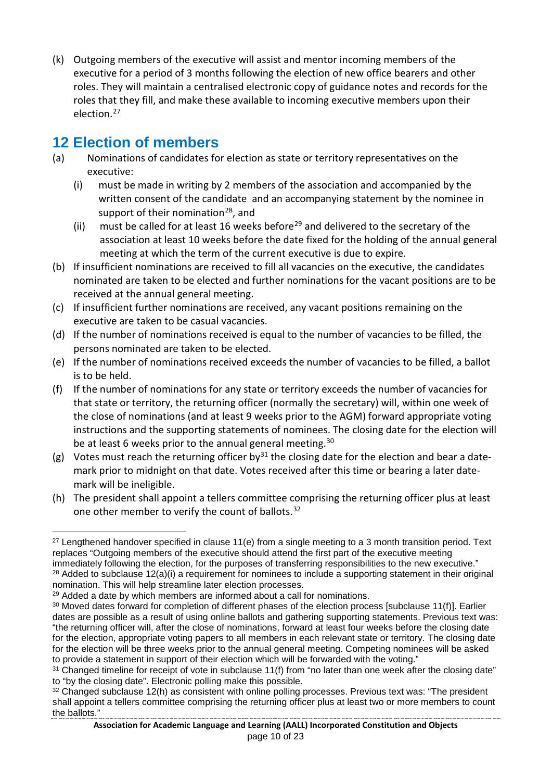(k) Outgoing members of the executive will assist and mentor incoming members of the executive for a period of 3 months following the election of new office bearers and other roles. They will maintain a centralised electronic copy of guidance notes and records for the roles that they fill, and make these available to incoming executive members upon their election. [27](#page-9-1)

#### <span id="page-9-0"></span>**12 Election of members**

- (a) Nominations of candidates for election as state or territory representatives on the executive:
	- (i) must be made in writing by 2 members of the association and accompanied by the written consent of the candidate and an accompanying statement by the nominee in support of their nomination<sup>28</sup>, and
	- (ii) must be called for at least 16 weeks before<sup>[29](#page-9-3)</sup> and delivered to the secretary of the association at least 10 weeks before the date fixed for the holding of the annual general meeting at which the term of the current executive is due to expire.
- (b) If insufficient nominations are received to fill all vacancies on the executive, the candidates nominated are taken to be elected and further nominations for the vacant positions are to be received at the annual general meeting.
- (c) If insufficient further nominations are received, any vacant positions remaining on the executive are taken to be casual vacancies.
- (d) If the number of nominations received is equal to the number of vacancies to be filled, the persons nominated are taken to be elected.
- (e) If the number of nominations received exceeds the number of vacancies to be filled, a ballot is to be held.
- (f) If the number of nominations for any state or territory exceeds the number of vacancies for that state or territory, the returning officer (normally the secretary) will, within one week of the close of nominations (and at least 9 weeks prior to the AGM) forward appropriate voting instructions and the supporting statements of nominees. The closing date for the election will be at least 6 weeks prior to the annual general meeting.<sup>[30](#page-9-4)</sup>
- (g) Votes must reach the returning officer by<sup>[31](#page-9-5)</sup> the closing date for the election and bear a datemark prior to midnight on that date. Votes received after this time or bearing a later datemark will be ineligible.
- (h) The president shall appoint a tellers committee comprising the returning officer plus at least one other member to verify the count of ballots.[32](#page-9-6)

<span id="page-9-1"></span> $27$  Lengthened handover specified in clause 11(e) from a single meeting to a 3 month transition period. Text replaces "Outgoing members of the executive should attend the first part of the executive meeting immediately following the election, for the purposes of transferring responsibilities to the new executive." <sup>28</sup> Added to subclause 12(a)(i) a requirement for nominees to include a supporting statement in their original nomination. This will help streamline later election processes.

<span id="page-9-3"></span><span id="page-9-2"></span><sup>&</sup>lt;sup>29</sup> Added a date by which members are informed about a call for nominations.

<span id="page-9-4"></span><sup>30</sup> Moved dates forward for completion of different phases of the election process [subclause 11(f)]. Earlier dates are possible as a result of using online ballots and gathering supporting statements. Previous text was: "the returning officer will, after the close of nominations, forward at least four weeks before the closing date for the election, appropriate voting papers to all members in each relevant state or territory. The closing date for the election will be three weeks prior to the annual general meeting. Competing nominees will be asked to provide a statement in support of their election which will be forwarded with the voting."

<span id="page-9-5"></span><sup>&</sup>lt;sup>31</sup> Changed timeline for receipt of vote in subclause 11(f) from "no later than one week after the closing date" to "by the closing date". Electronic polling make this possible.

<span id="page-9-6"></span><sup>32</sup> Changed subclause 12(h) as consistent with online polling processes. Previous text was: "The president shall appoint a tellers committee comprising the returning officer plus at least two or more members to count the ballots."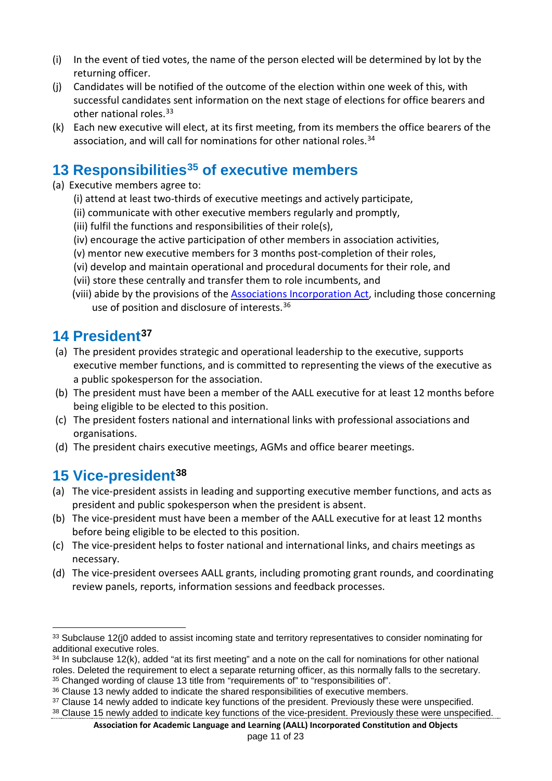- (i) In the event of tied votes, the name of the person elected will be determined by lot by the returning officer.
- (j) Candidates will be notified of the outcome of the election within one week of this, with successful candidates sent information on the next stage of elections for office bearers and other national roles.<sup>[33](#page-10-3)</sup>
- (k) Each new executive will elect, at its first meeting, from its members the office bearers of the association, and will call for nominations for other national roles.<sup>[34](#page-10-4)</sup>

#### <span id="page-10-0"></span>**13 Responsibilities[35](#page-10-5) of executive members**

- (a) Executive members agree to:
	- (i) attend at least two-thirds of executive meetings and actively participate,
	- (ii) communicate with other executive members regularly and promptly,
	- (iii) fulfil the functions and responsibilities of their role(s),
	- (iv) encourage the active participation of other members in association activities,
	- (v) mentor new executive members for 3 months post-completion of their roles,
	- (vi) develop and maintain operational and procedural documents for their role, and
	- (vii) store these centrally and transfer them to role incumbents, and
	- (viii) abide by the provisions of the [Associations Incorporation Act,](https://www.fairtrading.nsw.gov.au/associations-and-co-operatives/associations/running-an-association/management-committee) including those concerning use of position and disclosure of interests.<sup>[36](#page-10-6)</sup>

#### <span id="page-10-1"></span>**14 President[37](#page-10-7)**

- (a) The president provides strategic and operational leadership to the executive, supports executive member functions, and is committed to representing the views of the executive as a public spokesperson for the association.
- (b) The president must have been a member of the AALL executive for at least 12 months before being eligible to be elected to this position.
- (c) The president fosters national and international links with professional associations and organisations.
- (d) The president chairs executive meetings, AGMs and office bearer meetings.

#### <span id="page-10-2"></span>**15 Vice-president[38](#page-10-8)**

- (a) The vice-president assists in leading and supporting executive member functions, and acts as president and public spokesperson when the president is absent.
- (b) The vice-president must have been a member of the AALL executive for at least 12 months before being eligible to be elected to this position.
- (c) The vice-president helps to foster national and international links, and chairs meetings as necessary.
- (d) The vice-president oversees AALL grants, including promoting grant rounds, and coordinating review panels, reports, information sessions and feedback processes.

<span id="page-10-3"></span><sup>&</sup>lt;sup>33</sup> Subclause 12(i0 added to assist incoming state and territory representatives to consider nominating for additional executive roles.

<span id="page-10-4"></span><sup>&</sup>lt;sup>34</sup> In subclause 12(k), added "at its first meeting" and a note on the call for nominations for other national roles. Deleted the requirement to elect a separate returning officer, as this normally falls to the secretary. <sup>35</sup> Changed wording of clause 13 title from "requirements of" to "responsibilities of".

<span id="page-10-6"></span><span id="page-10-5"></span><sup>&</sup>lt;sup>36</sup> Clause 13 newly added to indicate the shared responsibilities of executive members.

<span id="page-10-8"></span><span id="page-10-7"></span><sup>&</sup>lt;sup>37</sup> Clause 14 newly added to indicate key functions of the president. Previously these were unspecified. <sup>38</sup> Clause 15 newly added to indicate key functions of the vice-president. Previously these were unspecified.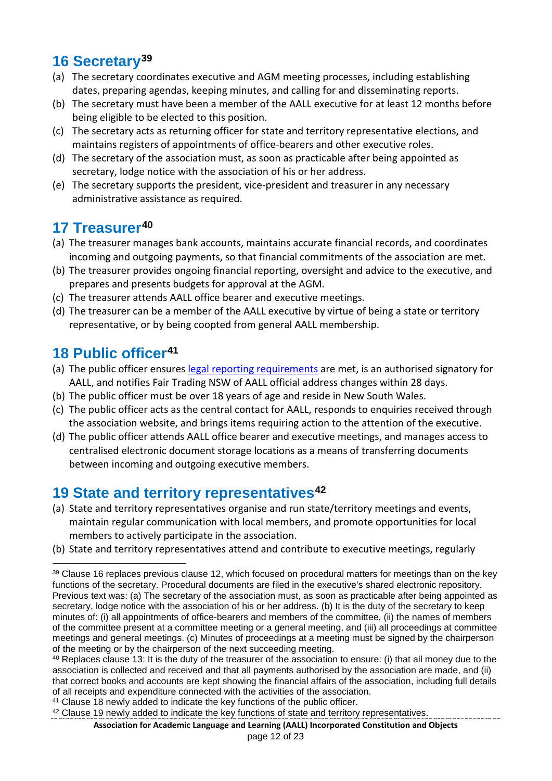#### <span id="page-11-0"></span>**16 Secretary[39](#page-11-4)**

- (a) The secretary coordinates executive and AGM meeting processes, including establishing dates, preparing agendas, keeping minutes, and calling for and disseminating reports.
- (b) The secretary must have been a member of the AALL executive for at least 12 months before being eligible to be elected to this position.
- (c) The secretary acts as returning officer for state and territory representative elections, and maintains registers of appointments of office-bearers and other executive roles.
- (d) The secretary of the association must, as soon as practicable after being appointed as secretary, lodge notice with the association of his or her address.
- (e) The secretary supports the president, vice-president and treasurer in any necessary administrative assistance as required.

#### <span id="page-11-1"></span>**17 Treasurer[40](#page-11-5)**

- (a) The treasurer manages bank accounts, maintains accurate financial records, and coordinates incoming and outgoing payments, so that financial commitments of the association are met.
- (b) The treasurer provides ongoing financial reporting, oversight and advice to the executive, and prepares and presents budgets for approval at the AGM.
- (c) The treasurer attends AALL office bearer and executive meetings.
- (d) The treasurer can be a member of the AALL executive by virtue of being a state or territory representative, or by being coopted from general AALL membership.

#### <span id="page-11-2"></span>**18 Public officer[41](#page-11-6)**

- (a) The public officer ensures [legal reporting requirements](https://www.fairtrading.nsw.gov.au/associations-and-co-operatives/associations/starting-an-association/public-officer) are met, is an authorised signatory for AALL, and notifies Fair Trading NSW of AALL official address changes within 28 days.
- (b) The public officer must be over 18 years of age and reside in New South Wales.
- (c) The public officer acts as the central contact for AALL, responds to enquiries received through the association website, and brings items requiring action to the attention of the executive.
- (d) The public officer attends AALL office bearer and executive meetings, and manages access to centralised electronic document storage locations as a means of transferring documents between incoming and outgoing executive members.

#### <span id="page-11-3"></span>**19 State and territory representatives[42](#page-11-7)**

- (a) State and territory representatives organise and run state/territory meetings and events, maintain regular communication with local members, and promote opportunities for local members to actively participate in the association.
- (b) State and territory representatives attend and contribute to executive meetings, regularly

<span id="page-11-6"></span><sup>41</sup> Clause 18 newly added to indicate the key functions of the public officer.

<span id="page-11-7"></span> $42$  Clause 19 newly added to indicate the key functions of state and territory representatives.

**Association for Academic Language and Learning (AALL) Incorporated Constitution and Objects**

<span id="page-11-4"></span><sup>&</sup>lt;sup>39</sup> Clause 16 replaces previous clause 12, which focused on procedural matters for meetings than on the key functions of the secretary. Procedural documents are filed in the executive's shared electronic repository. Previous text was: (a) The secretary of the association must, as soon as practicable after being appointed as secretary, lodge notice with the association of his or her address. (b) It is the duty of the secretary to keep minutes of: (i) all appointments of office-bearers and members of the committee, (ii) the names of members of the committee present at a committee meeting or a general meeting, and (iii) all proceedings at committee meetings and general meetings. (c) Minutes of proceedings at a meeting must be signed by the chairperson of the meeting or by the chairperson of the next succeeding meeting.

<span id="page-11-5"></span><sup>40</sup> Replaces clause 13: It is the duty of the treasurer of the association to ensure: (i) that all money due to the association is collected and received and that all payments authorised by the association are made, and (ii) that correct books and accounts are kept showing the financial affairs of the association, including full details of all receipts and expenditure connected with the activities of the association.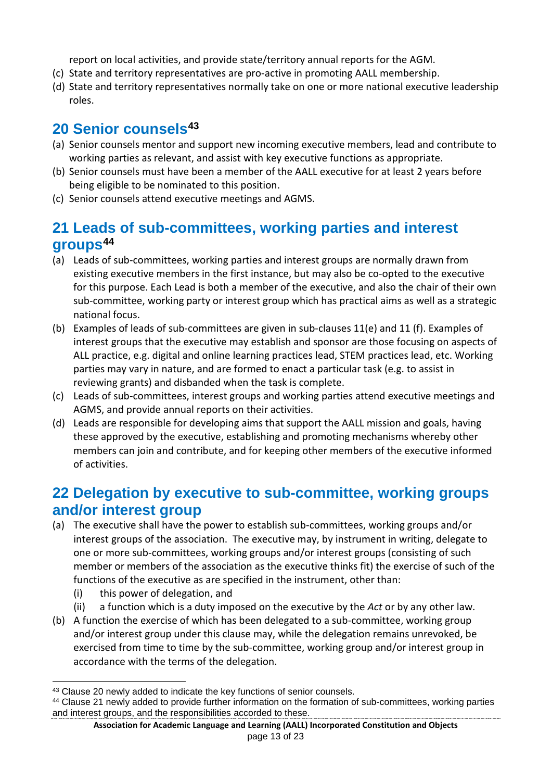report on local activities, and provide state/territory annual reports for the AGM.

- (c) State and territory representatives are pro-active in promoting AALL membership.
- (d) State and territory representatives normally take on one or more national executive leadership roles.

#### <span id="page-12-0"></span>**20 Senior counsels[43](#page-12-3)**

- (a) Senior counsels mentor and support new incoming executive members, lead and contribute to working parties as relevant, and assist with key executive functions as appropriate.
- (b) Senior counsels must have been a member of the AALL executive for at least 2 years before being eligible to be nominated to this position.
- (c) Senior counsels attend executive meetings and AGMS.

#### <span id="page-12-1"></span>**21 Leads of sub-committees, working parties and interest groups[44](#page-12-4)**

- (a) Leads of sub-committees, working parties and interest groups are normally drawn from existing executive members in the first instance, but may also be co-opted to the executive for this purpose. Each Lead is both a member of the executive, and also the chair of their own sub-committee, working party or interest group which has practical aims as well as a strategic national focus.
- (b) Examples of leads of sub-committees are given in sub-clauses 11(e) and 11 (f). Examples of interest groups that the executive may establish and sponsor are those focusing on aspects of ALL practice, e.g. digital and online learning practices lead, STEM practices lead, etc. Working parties may vary in nature, and are formed to enact a particular task (e.g. to assist in reviewing grants) and disbanded when the task is complete.
- (c) Leads of sub-committees, interest groups and working parties attend executive meetings and AGMS, and provide annual reports on their activities.
- (d) Leads are responsible for developing aims that support the AALL mission and goals, having these approved by the executive, establishing and promoting mechanisms whereby other members can join and contribute, and for keeping other members of the executive informed of activities.

#### <span id="page-12-2"></span>**22 Delegation by executive to sub-committee, working groups and/or interest group**

- (a) The executive shall have the power to establish sub-committees, working groups and/or interest groups of the association.The executive may, by instrument in writing, delegate to one or more sub-committees, working groups and/or interest groups (consisting of such member or members of the association as the executive thinks fit) the exercise of such of the functions of the executive as are specified in the instrument, other than:
	- (i) this power of delegation, and
	- (ii) a function which is a duty imposed on the executive by the *Act* or by any other law.
- (b) A function the exercise of which has been delegated to a sub-committee, working group and/or interest group under this clause may, while the delegation remains unrevoked, be exercised from time to time by the sub-committee, working group and/or interest group in accordance with the terms of the delegation.

<span id="page-12-3"></span><sup>43</sup> Clause 20 newly added to indicate the key functions of senior counsels.

<span id="page-12-4"></span><sup>44</sup> Clause 21 newly added to provide further information on the formation of sub-committees, working parties and interest groups, and the responsibilities accorded to these.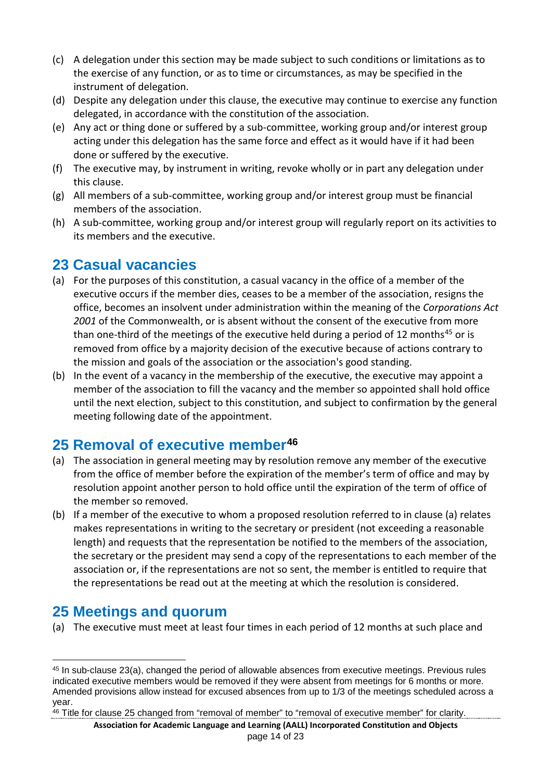- (c) A delegation under this section may be made subject to such conditions or limitations as to the exercise of any function, or as to time or circumstances, as may be specified in the instrument of delegation.
- (d) Despite any delegation under this clause, the executive may continue to exercise any function delegated, in accordance with the constitution of the association.
- (e) Any act or thing done or suffered by a sub-committee, working group and/or interest group acting under this delegation has the same force and effect as it would have if it had been done or suffered by the executive.
- (f) The executive may, by instrument in writing, revoke wholly or in part any delegation under this clause.
- (g) All members of a sub-committee, working group and/or interest group must be financial members of the association.
- (h) A sub-committee, working group and/or interest group will regularly report on its activities to its members and the executive.

#### <span id="page-13-0"></span>**23 Casual vacancies**

- (a) For the purposes of this constitution, a casual vacancy in the office of a member of the executive occurs if the member dies, ceases to be a member of the association, resigns the office, becomes an insolvent under administration within the meaning of the *Corporations Act 2001* of the Commonwealth, or is absent without the consent of the executive from more than one-third of the meetings of the executive held during a period of 12 months<sup>[45](#page-13-3)</sup> or is removed from office by a majority decision of the executive because of actions contrary to the mission and goals of the association or the association's good standing.
- (b) In the event of a vacancy in the membership of the executive, the executive may appoint a member of the association to fill the vacancy and the member so appointed shall hold office until the next election, subject to this constitution, and subject to confirmation by the general meeting following date of the appointment.

#### <span id="page-13-1"></span>**25 Removal of executive member[46](#page-13-4)**

- (a) The association in general meeting may by resolution remove any member of the executive from the office of member before the expiration of the member's term of office and may by resolution appoint another person to hold office until the expiration of the term of office of the member so removed.
- (b) If a member of the executive to whom a proposed resolution referred to in clause (a) relates makes representations in writing to the secretary or president (not exceeding a reasonable length) and requests that the representation be notified to the members of the association, the secretary or the president may send a copy of the representations to each member of the association or, if the representations are not so sent, the member is entitled to require that the representations be read out at the meeting at which the resolution is considered.

#### <span id="page-13-2"></span>**25 Meetings and quorum**

(a) The executive must meet at least four times in each period of 12 months at such place and

<span id="page-13-3"></span> <sup>45</sup> In sub-clause 23(a), changed the period of allowable absences from executive meetings. Previous rules indicated executive members would be removed if they were absent from meetings for 6 months or more. Amended provisions allow instead for excused absences from up to 1/3 of the meetings scheduled across a year.

<span id="page-13-4"></span><sup>46</sup> Title for clause 25 changed from "removal of member" to "removal of executive member" for clarity.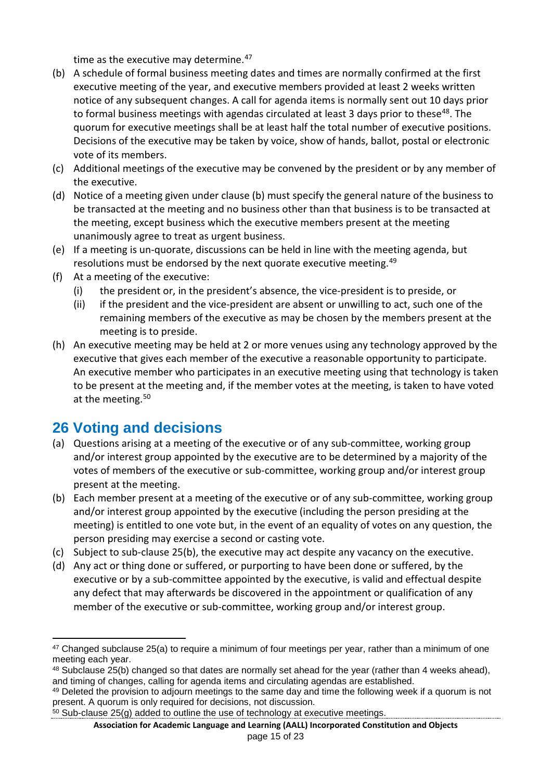time as the executive may determine.<sup>[47](#page-14-1)</sup>

- (b) A schedule of formal business meeting dates and times are normally confirmed at the first executive meeting of the year, and executive members provided at least 2 weeks written notice of any subsequent changes. A call for agenda items is normally sent out 10 days prior to formal business meetings with agendas circulated at least 3 days prior to these<sup>[48](#page-14-2)</sup>. The quorum for executive meetings shall be at least half the total number of executive positions. Decisions of the executive may be taken by voice, show of hands, ballot, postal or electronic vote of its members.
- (c) Additional meetings of the executive may be convened by the president or by any member of the executive.
- (d) Notice of a meeting given under clause (b) must specify the general nature of the business to be transacted at the meeting and no business other than that business is to be transacted at the meeting, except business which the executive members present at the meeting unanimously agree to treat as urgent business.
- (e) If a meeting is un-quorate, discussions can be held in line with the meeting agenda, but resolutions must be endorsed by the next quorate executive meeting.<sup>[49](#page-14-3)</sup>
- (f) At a meeting of the executive:
	- (i) the president or, in the president's absence, the vice-president is to preside, or
	- (ii) if the president and the vice-president are absent or unwilling to act, such one of the remaining members of the executive as may be chosen by the members present at the meeting is to preside.
- (h) An executive meeting may be held at 2 or more venues using any technology approved by the executive that gives each member of the executive a reasonable opportunity to participate. An executive member who participates in an executive meeting using that technology is taken to be present at the meeting and, if the member votes at the meeting, is taken to have voted at the meeting.<sup>50</sup>

#### <span id="page-14-0"></span>**26 Voting and decisions**

- (a) Questions arising at a meeting of the executive or of any sub-committee, working group and/or interest group appointed by the executive are to be determined by a majority of the votes of members of the executive or sub-committee, working group and/or interest group present at the meeting.
- (b) Each member present at a meeting of the executive or of any sub-committee, working group and/or interest group appointed by the executive (including the person presiding at the meeting) is entitled to one vote but, in the event of an equality of votes on any question, the person presiding may exercise a second or casting vote.
- (c) Subject to sub-clause 25(b), the executive may act despite any vacancy on the executive.
- (d) Any act or thing done or suffered, or purporting to have been done or suffered, by the executive or by a sub-committee appointed by the executive, is valid and effectual despite any defect that may afterwards be discovered in the appointment or qualification of any member of the executive or sub-committee, working group and/or interest group.

<span id="page-14-1"></span> $47$  Changed subclause 25(a) to require a minimum of four meetings per year, rather than a minimum of one meeting each year.

<span id="page-14-2"></span> $48$  Subclause 25(b) changed so that dates are normally set ahead for the year (rather than 4 weeks ahead), and timing of changes, calling for agenda items and circulating agendas are established.

<span id="page-14-3"></span><sup>49</sup> Deleted the provision to adjourn meetings to the same day and time the following week if a quorum is not present. A quorum is only required for decisions, not discussion.

<span id="page-14-4"></span> $50$  Sub-clause 25(g) added to outline the use of technology at executive meetings.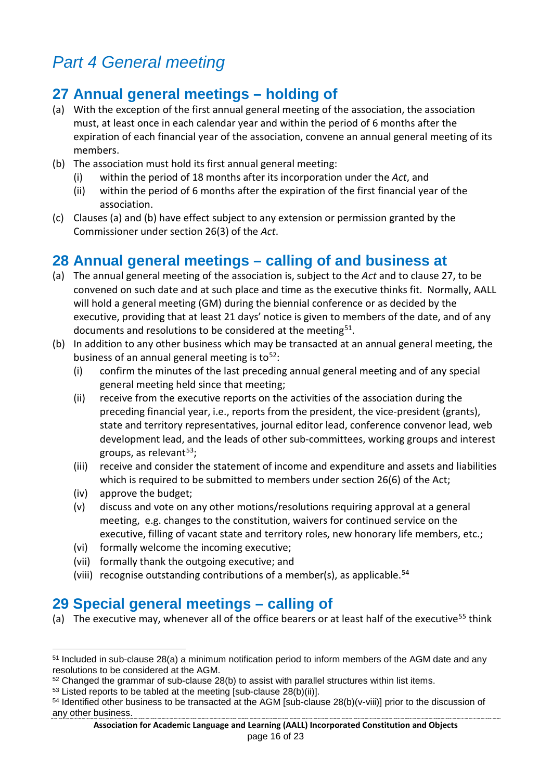# <span id="page-15-0"></span>*Part 4 General meeting*

#### <span id="page-15-1"></span>**27 Annual general meetings – holding of**

- (a) With the exception of the first annual general meeting of the association, the association must, at least once in each calendar year and within the period of 6 months after the expiration of each financial year of the association, convene an annual general meeting of its members.
- (b) The association must hold its first annual general meeting:
	- (i) within the period of 18 months after its incorporation under the *Act*, and
	- (ii) within the period of 6 months after the expiration of the first financial year of the association.
- (c) Clauses (a) and (b) have effect subject to any extension or permission granted by the Commissioner under section 26(3) of the *Act*.

#### <span id="page-15-2"></span>**28 Annual general meetings – calling of and business at**

- (a) The annual general meeting of the association is, subject to the *Act* and to clause 27, to be convened on such date and at such place and time as the executive thinks fit. Normally, AALL will hold a general meeting (GM) during the biennial conference or as decided by the executive, providing that at least 21 days' notice is given to members of the date, and of any documents and resolutions to be considered at the meeting<sup>51</sup>.
- (b) In addition to any other business which may be transacted at an annual general meeting, the business of an annual general meeting is to<sup>52</sup>:
	- (i) confirm the minutes of the last preceding annual general meeting and of any special general meeting held since that meeting;
	- (ii) receive from the executive reports on the activities of the association during the preceding financial year, i.e., reports from the president, the vice-president (grants), state and territory representatives, journal editor lead, conference convenor lead, web development lead, and the leads of other sub-committees, working groups and interest groups, as relevant  $53$ :
	- (iii) receive and consider the statement of income and expenditure and assets and liabilities which is required to be submitted to members under section 26(6) of the Act;
	- (iv) approve the budget;
	- (v) discuss and vote on any other motions/resolutions requiring approval at a general meeting, e.g. changes to the constitution, waivers for continued service on the executive, filling of vacant state and territory roles, new honorary life members, etc.;
	- (vi) formally welcome the incoming executive;
	- (vii) formally thank the outgoing executive; and
	- (viii) recognise outstanding contributions of a member(s), as applicable.<sup>[54](#page-15-7)</sup>

#### <span id="page-15-3"></span>**29 Special general meetings – calling of**

(a) The executive may, whenever all of the office bearers or at least half of the executive<sup>[55](#page-15-8)</sup> think

<span id="page-15-5"></span> $52$  Changed the grammar of sub-clause 28(b) to assist with parallel structures within list items.

<span id="page-15-8"></span><span id="page-15-4"></span> <sup>51</sup> Included in sub-clause 28(a) a minimum notification period to inform members of the AGM date and any resolutions to be considered at the AGM.

<span id="page-15-6"></span> $53$  Listed reports to be tabled at the meeting [sub-clause  $28(b)(ii)$ ].

<span id="page-15-7"></span><sup>&</sup>lt;sup>54</sup> Identified other business to be transacted at the AGM [sub-clause 28(b)(v-viii)] prior to the discussion of any other business.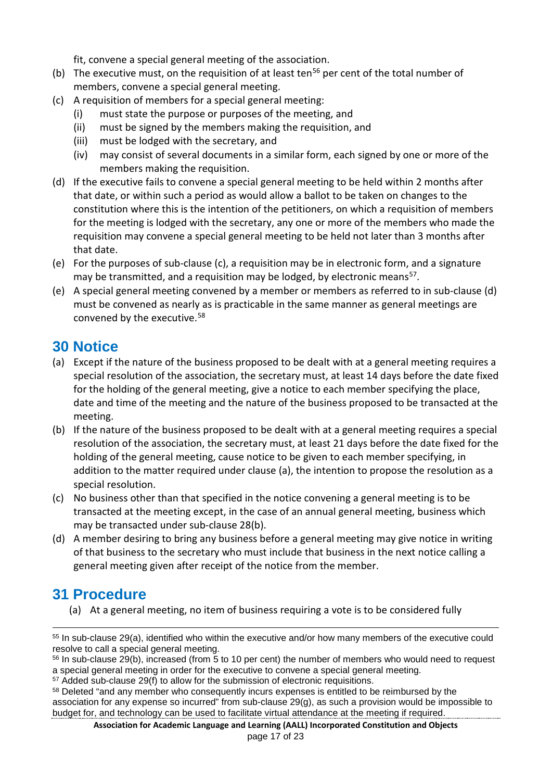fit, convene a special general meeting of the association.

- (b) The executive must, on the requisition of at least ten<sup>[56](#page-16-2)</sup> per cent of the total number of members, convene a special general meeting.
- (c) A requisition of members for a special general meeting:
	- (i) must state the purpose or purposes of the meeting, and
	- (ii) must be signed by the members making the requisition, and
	- (iii) must be lodged with the secretary, and
	- (iv) may consist of several documents in a similar form, each signed by one or more of the members making the requisition.
- (d) If the executive fails to convene a special general meeting to be held within 2 months after that date, or within such a period as would allow a ballot to be taken on changes to the constitution where this is the intention of the petitioners, on which a requisition of members for the meeting is lodged with the secretary, any one or more of the members who made the requisition may convene a special general meeting to be held not later than 3 months after that date.
- (e) For the purposes of sub-clause (c), a requisition may be in electronic form, and a signature may be transmitted, and a requisition may be lodged, by electronic means<sup>57</sup>.
- (e) A special general meeting convened by a member or members as referred to in sub-clause (d) must be convened as nearly as is practicable in the same manner as general meetings are convened by the executive.<sup>[58](#page-16-4)</sup>

#### <span id="page-16-0"></span>**30 Notice**

- (a) Except if the nature of the business proposed to be dealt with at a general meeting requires a special resolution of the association, the secretary must, at least 14 days before the date fixed for the holding of the general meeting, give a notice to each member specifying the place, date and time of the meeting and the nature of the business proposed to be transacted at the meeting.
- (b) If the nature of the business proposed to be dealt with at a general meeting requires a special resolution of the association, the secretary must, at least 21 days before the date fixed for the holding of the general meeting, cause notice to be given to each member specifying, in addition to the matter required under clause (a), the intention to propose the resolution as a special resolution.
- (c) No business other than that specified in the notice convening a general meeting is to be transacted at the meeting except, in the case of an annual general meeting, business which may be transacted under sub-clause 28(b).
- (d) A member desiring to bring any business before a general meeting may give notice in writing of that business to the secretary who must include that business in the next notice calling a general meeting given after receipt of the notice from the member.

## <span id="page-16-1"></span>**31 Procedure**

(a) At a general meeting, no item of business requiring a vote is to be considered fully

 <sup>55</sup> In sub-clause 29(a), identified who within the executive and/or how many members of the executive could resolve to call a special general meeting.

<span id="page-16-2"></span><sup>&</sup>lt;sup>56</sup> In sub-clause 29(b), increased (from 5 to 10 per cent) the number of members who would need to request a special general meeting in order for the executive to convene a special general meeting.

<span id="page-16-3"></span> $57$  Added sub-clause 29(f) to allow for the submission of electronic requisitions.

<span id="page-16-4"></span><sup>58</sup> Deleted "and any member who consequently incurs expenses is entitled to be reimbursed by the association for any expense so incurred" from sub-clause 29(g), as such a provision would be impossible to budget for, and technology can be used to facilitate virtual attendance at the meeting if required.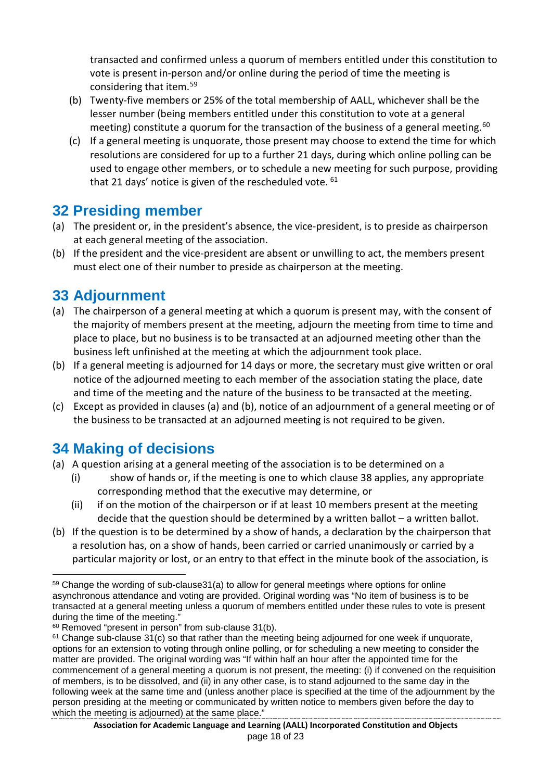transacted and confirmed unless a quorum of members entitled under this constitution to vote is present in-person and/or online during the period of time the meeting is considering that item.[59](#page-17-3)

- (b) Twenty-five members or 25% of the total membership of AALL, whichever shall be the lesser number (being members entitled under this constitution to vote at a general meeting) constitute a quorum for the transaction of the business of a general meeting.<sup>[60](#page-17-4)</sup>
- (c) If a general meeting is unquorate, those present may choose to extend the time for which resolutions are considered for up to a further 21 days, during which online polling can be used to engage other members, or to schedule a new meeting for such purpose, providing that 21 days' notice is given of the rescheduled vote.  $61$

#### <span id="page-17-0"></span>**32 Presiding member**

- (a) The president or, in the president's absence, the vice-president, is to preside as chairperson at each general meeting of the association.
- (b) If the president and the vice-president are absent or unwilling to act, the members present must elect one of their number to preside as chairperson at the meeting.

#### <span id="page-17-1"></span>**33 Adjournment**

- (a) The chairperson of a general meeting at which a quorum is present may, with the consent of the majority of members present at the meeting, adjourn the meeting from time to time and place to place, but no business is to be transacted at an adjourned meeting other than the business left unfinished at the meeting at which the adjournment took place.
- (b) If a general meeting is adjourned for 14 days or more, the secretary must give written or oral notice of the adjourned meeting to each member of the association stating the place, date and time of the meeting and the nature of the business to be transacted at the meeting.
- (c) Except as provided in clauses (a) and (b), notice of an adjournment of a general meeting or of the business to be transacted at an adjourned meeting is not required to be given.

#### <span id="page-17-2"></span>**34 Making of decisions**

- (a) A question arising at a general meeting of the association is to be determined on a
	- (i) show of hands or, if the meeting is one to which clause 38 applies, any appropriate corresponding method that the executive may determine, or
	- (ii) if on the motion of the chairperson or if at least 10 members present at the meeting decide that the question should be determined by a written ballot – a written ballot.
- (b) If the question is to be determined by a show of hands, a declaration by the chairperson that a resolution has, on a show of hands, been carried or carried unanimously or carried by a particular majority or lost, or an entry to that effect in the minute book of the association, is

<span id="page-17-3"></span><sup>59</sup> Change the wording of sub-clause 31(a) to allow for general meetings where options for online asynchronous attendance and voting are provided. Original wording was "No item of business is to be transacted at a general meeting unless a quorum of members entitled under these rules to vote is present during the time of the meeting."

<span id="page-17-4"></span><sup>&</sup>lt;sup>60</sup> Removed "present in person" from sub-clause 31(b).

<span id="page-17-5"></span> $61$  Change sub-clause 31(c) so that rather than the meeting being adjourned for one week if unquorate. options for an extension to voting through online polling, or for scheduling a new meeting to consider the matter are provided. The original wording was "If within half an hour after the appointed time for the commencement of a general meeting a quorum is not present, the meeting: (i) if convened on the requisition of members, is to be dissolved, and (ii) in any other case, is to stand adjourned to the same day in the following week at the same time and (unless another place is specified at the time of the adjournment by the person presiding at the meeting or communicated by written notice to members given before the day to which the meeting is adjourned) at the same place."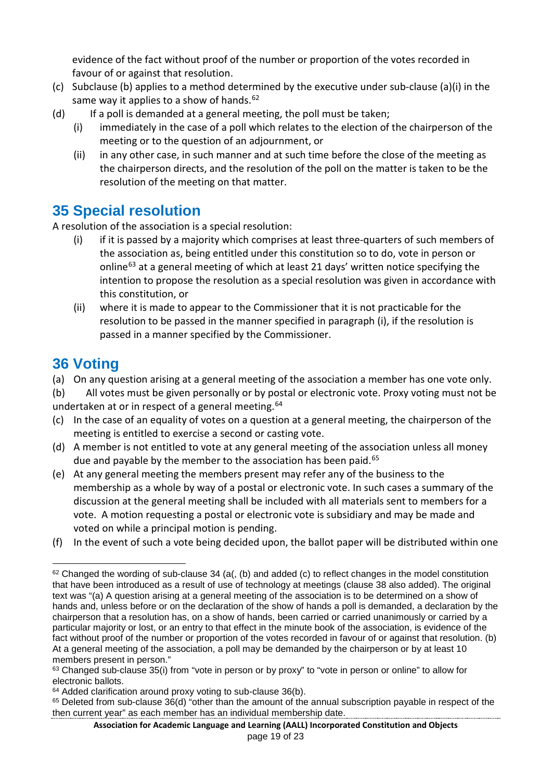evidence of the fact without proof of the number or proportion of the votes recorded in favour of or against that resolution.

- (c) Subclause (b) applies to a method determined by the executive under sub-clause (a)(i) in the same way it applies to a show of hands.<sup>[62](#page-18-2)</sup>
- (d) If a poll is demanded at a general meeting, the poll must be taken;
	- (i) immediately in the case of a poll which relates to the election of the chairperson of the meeting or to the question of an adjournment, or
	- (ii) in any other case, in such manner and at such time before the close of the meeting as the chairperson directs, and the resolution of the poll on the matter is taken to be the resolution of the meeting on that matter.

#### <span id="page-18-0"></span>**35 Special resolution**

A resolution of the association is a special resolution:

- (i) if it is passed by a majority which comprises at least three-quarters of such members of the association as, being entitled under this constitution so to do, vote in person or online<sup>[63](#page-18-3)</sup> at a general meeting of which at least 21 days' written notice specifying the intention to propose the resolution as a special resolution was given in accordance with this constitution, or
- (ii) where it is made to appear to the Commissioner that it is not practicable for the resolution to be passed in the manner specified in paragraph (i), if the resolution is passed in a manner specified by the Commissioner.

#### <span id="page-18-1"></span>**36 Voting**

(a) On any question arising at a general meeting of the association a member has one vote only.

(b) All votes must be given personally or by postal or electronic vote. Proxy voting must not be undertaken at or in respect of a general meeting.<sup>[64](#page-18-4)</sup>

- (c) In the case of an equality of votes on a question at a general meeting, the chairperson of the meeting is entitled to exercise a second or casting vote.
- (d) A member is not entitled to vote at any general meeting of the association unless all money due and payable by the member to the association has been paid.<sup>[65](#page-18-5)</sup>
- (e) At any general meeting the members present may refer any of the business to the membership as a whole by way of a postal or electronic vote. In such cases a summary of the discussion at the general meeting shall be included with all materials sent to members for a vote. A motion requesting a postal or electronic vote is subsidiary and may be made and voted on while a principal motion is pending.
- (f) In the event of such a vote being decided upon, the ballot paper will be distributed within one

<span id="page-18-2"></span><sup>&</sup>lt;sup>62</sup> Changed the wording of sub-clause 34 (a(, (b) and added (c) to reflect changes in the model constitution that have been introduced as a result of use of technology at meetings (clause 38 also added). The original text was "(a) A question arising at a general meeting of the association is to be determined on a show of hands and, unless before or on the declaration of the show of hands a poll is demanded, a declaration by the chairperson that a resolution has, on a show of hands, been carried or carried unanimously or carried by a particular majority or lost, or an entry to that effect in the minute book of the association, is evidence of the fact without proof of the number or proportion of the votes recorded in favour of or against that resolution. (b) At a general meeting of the association, a poll may be demanded by the chairperson or by at least 10 members present in person."

<span id="page-18-3"></span><sup>&</sup>lt;sup>63</sup> Changed sub-clause 35(i) from "vote in person or by proxy" to "vote in person or online" to allow for electronic ballots.

<span id="page-18-4"></span><sup>&</sup>lt;sup>64</sup> Added clarification around proxy voting to sub-clause 36(b).

<span id="page-18-5"></span> $65$  Deleted from sub-clause  $36(d)$  "other than the amount of the annual subscription payable in respect of the then current year" as each member has an individual membership date.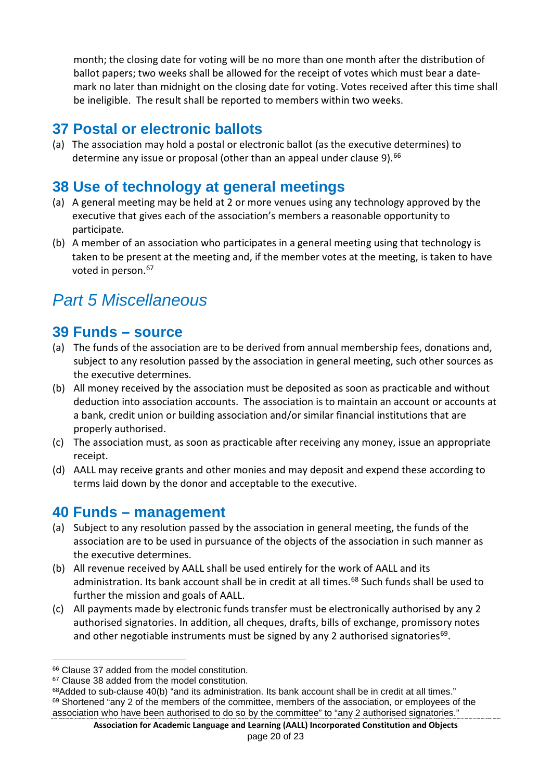month; the closing date for voting will be no more than one month after the distribution of ballot papers; two weeks shall be allowed for the receipt of votes which must bear a datemark no later than midnight on the closing date for voting. Votes received after this time shall be ineligible. The result shall be reported to members within two weeks.

#### <span id="page-19-0"></span>**37 Postal or electronic ballots**

(a) The association may hold a postal or electronic ballot (as the executive determines) to determine any issue or proposal (other than an appeal under clause 9).<sup>[66](#page-19-5)</sup>

#### <span id="page-19-1"></span>**38 Use of technology at general meetings**

- (a) A general meeting may be held at 2 or more venues using any technology approved by the executive that gives each of the association's members a reasonable opportunity to participate.
- (b) A member of an association who participates in a general meeting using that technology is taken to be present at the meeting and, if the member votes at the meeting, is taken to have voted in person.<sup>[67](#page-19-6)</sup>

# <span id="page-19-2"></span>*Part 5 Miscellaneous*

#### <span id="page-19-3"></span>**39 Funds – source**

- (a) The funds of the association are to be derived from annual membership fees, donations and, subject to any resolution passed by the association in general meeting, such other sources as the executive determines.
- (b) All money received by the association must be deposited as soon as practicable and without deduction into association accounts. The association is to maintain an account or accounts at a bank, credit union or building association and/or similar financial institutions that are properly authorised.
- (c) The association must, as soon as practicable after receiving any money, issue an appropriate receipt.
- (d) AALL may receive grants and other monies and may deposit and expend these according to terms laid down by the donor and acceptable to the executive.

#### <span id="page-19-4"></span>**40 Funds – management**

- (a) Subject to any resolution passed by the association in general meeting, the funds of the association are to be used in pursuance of the objects of the association in such manner as the executive determines.
- (b) All revenue received by AALL shall be used entirely for the work of AALL and its administration. Its bank account shall be in credit at all times.<sup>[68](#page-19-7)</sup> Such funds shall be used to further the mission and goals of AALL.
- (c) All payments made by electronic funds transfer must be electronically authorised by any 2 authorised signatories. In addition, all cheques, drafts, bills of exchange, promissory notes and other negotiable instruments must be signed by any 2 authorised signatories $69$ .

<span id="page-19-5"></span> <sup>66</sup> Clause 37 added from the model constitution.

<span id="page-19-6"></span><sup>&</sup>lt;sup>67</sup> Clause 38 added from the model constitution.

<span id="page-19-8"></span><span id="page-19-7"></span><sup>&</sup>lt;sup>68</sup>Added to sub-clause 40(b) "and its administration. Its bank account shall be in credit at all times." <sup>69</sup> Shortened "any 2 of the members of the committee, members of the association, or employees of the association who have been authorised to do so by the committee" to "any 2 authorised signatories."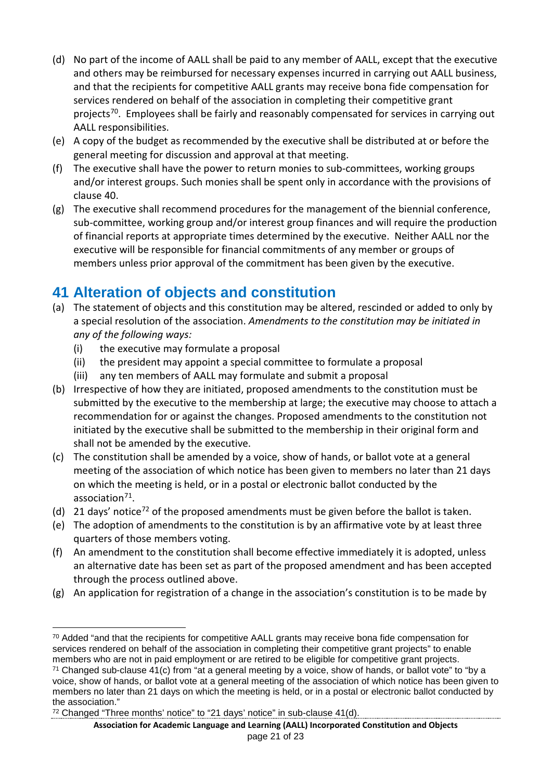- (d) No part of the income of AALL shall be paid to any member of AALL, except that the executive and others may be reimbursed for necessary expenses incurred in carrying out AALL business, and that the recipients for competitive AALL grants may receive bona fide compensation for services rendered on behalf of the association in completing their competitive grant projects<sup>[70](#page-20-1)</sup>. Employees shall be fairly and reasonably compensated for services in carrying out AALL responsibilities.
- (e) A copy of the budget as recommended by the executive shall be distributed at or before the general meeting for discussion and approval at that meeting.
- (f) The executive shall have the power to return monies to sub-committees, working groups and/or interest groups. Such monies shall be spent only in accordance with the provisions of clause 40.
- (g) The executive shall recommend procedures for the management of the biennial conference, sub-committee, working group and/or interest group finances and will require the production of financial reports at appropriate times determined by the executive. Neither AALL nor the executive will be responsible for financial commitments of any member or groups of members unless prior approval of the commitment has been given by the executive.

#### <span id="page-20-0"></span>**41 Alteration of objects and constitution**

- (a) The statement of objects and this constitution may be altered, rescinded or added to only by a special resolution of the association. *Amendments to the constitution may be initiated in any of the following ways:*
	- (i) the executive may formulate a proposal
	- (ii) the president may appoint a special committee to formulate a proposal
	- (iii) any ten members of AALL may formulate and submit a proposal
- (b) Irrespective of how they are initiated, proposed amendments to the constitution must be submitted by the executive to the membership at large; the executive may choose to attach a recommendation for or against the changes. Proposed amendments to the constitution not initiated by the executive shall be submitted to the membership in their original form and shall not be amended by the executive.
- (c) The constitution shall be amended by a voice, show of hands, or ballot vote at a general meeting of the association of which notice has been given to members no later than 21 days on which the meeting is held, or in a postal or electronic ballot conducted by the association $71$ .
- (d) 21 days' notice<sup>[72](#page-20-3)</sup> of the proposed amendments must be given before the ballot is taken.
- (e) The adoption of amendments to the constitution is by an affirmative vote by at least three quarters of those members voting.
- (f) An amendment to the constitution shall become effective immediately it is adopted, unless an alternative date has been set as part of the proposed amendment and has been accepted through the process outlined above.
- (g) An application for registration of a change in the association's constitution is to be made by

<span id="page-20-1"></span> <sup>70</sup> Added "and that the recipients for competitive AALL grants may receive bona fide compensation for services rendered on behalf of the association in completing their competitive grant projects" to enable members who are not in paid employment or are retired to be eligible for competitive grant projects.

<span id="page-20-2"></span> $71$  Changed sub-clause 41(c) from "at a general meeting by a voice, show of hands, or ballot vote" to "by a voice, show of hands, or ballot vote at a general meeting of the association of which notice has been given to members no later than 21 days on which the meeting is held, or in a postal or electronic ballot conducted by the association."

<span id="page-20-3"></span><sup>72</sup> Changed "Three months' notice" to "21 days' notice" in sub-clause 41(d).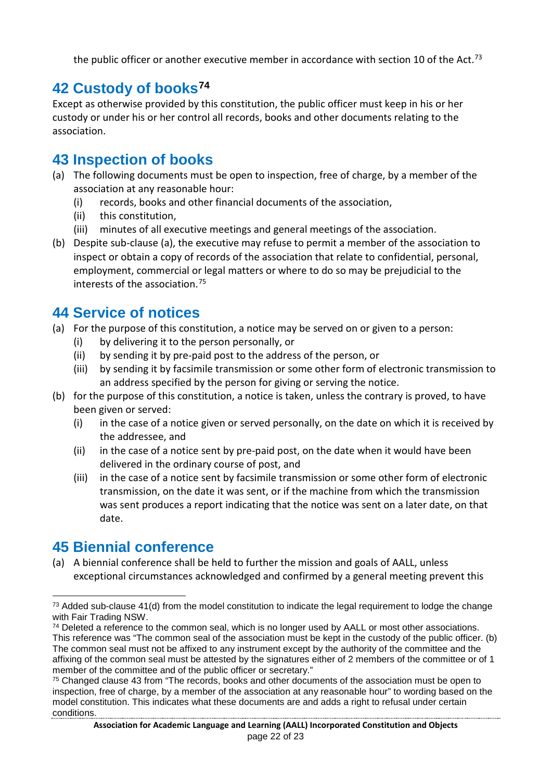the public officer or another executive member in accordance with section 10 of the Act.<sup>[73](#page-21-4)</sup>

#### <span id="page-21-0"></span>**42 Custody of books[74](#page-21-5)**

Except as otherwise provided by this constitution, the public officer must keep in his or her custody or under his or her control all records, books and other documents relating to the association.

#### <span id="page-21-1"></span>**43 Inspection of books**

- (a) The following documents must be open to inspection, free of charge, by a member of the association at any reasonable hour:
	- (i) records, books and other financial documents of the association,
	- (ii) this constitution,
	- (iii) minutes of all executive meetings and general meetings of the association.
- (b) Despite sub-clause (a), the executive may refuse to permit a member of the association to inspect or obtain a copy of records of the association that relate to confidential, personal, employment, commercial or legal matters or where to do so may be prejudicial to the interests of the association.[75](#page-21-6)

#### <span id="page-21-2"></span>**44 Service of notices**

- (a) For the purpose of this constitution, a notice may be served on or given to a person:
	- (i) by delivering it to the person personally, or
	- (ii) by sending it by pre-paid post to the address of the person, or
	- (iii) by sending it by facsimile transmission or some other form of electronic transmission to an address specified by the person for giving or serving the notice.
- (b) for the purpose of this constitution, a notice is taken, unless the contrary is proved, to have been given or served:
	- $(i)$  in the case of a notice given or served personally, on the date on which it is received by the addressee, and
	- (ii) in the case of a notice sent by pre-paid post, on the date when it would have been delivered in the ordinary course of post, and
	- (iii) in the case of a notice sent by facsimile transmission or some other form of electronic transmission, on the date it was sent, or if the machine from which the transmission was sent produces a report indicating that the notice was sent on a later date, on that date.

#### <span id="page-21-3"></span>**45 Biennial conference**

(a) A biennial conference shall be held to further the mission and goals of AALL, unless exceptional circumstances acknowledged and confirmed by a general meeting prevent this

<span id="page-21-4"></span><sup>&</sup>lt;sup>73</sup> Added sub-clause 41(d) from the model constitution to indicate the legal requirement to lodge the change with Fair Trading NSW.

<span id="page-21-5"></span> $74$  Deleted a reference to the common seal, which is no longer used by AALL or most other associations. This reference was "The common seal of the association must be kept in the custody of the public officer. (b) The common seal must not be affixed to any instrument except by the authority of the committee and the affixing of the common seal must be attested by the signatures either of 2 members of the committee or of 1 member of the committee and of the public officer or secretary."

<span id="page-21-6"></span><sup>75</sup> Changed clause 43 from "The records, books and other documents of the association must be open to inspection, free of charge, by a member of the association at any reasonable hour" to wording based on the model constitution. This indicates what these documents are and adds a right to refusal under certain conditions.